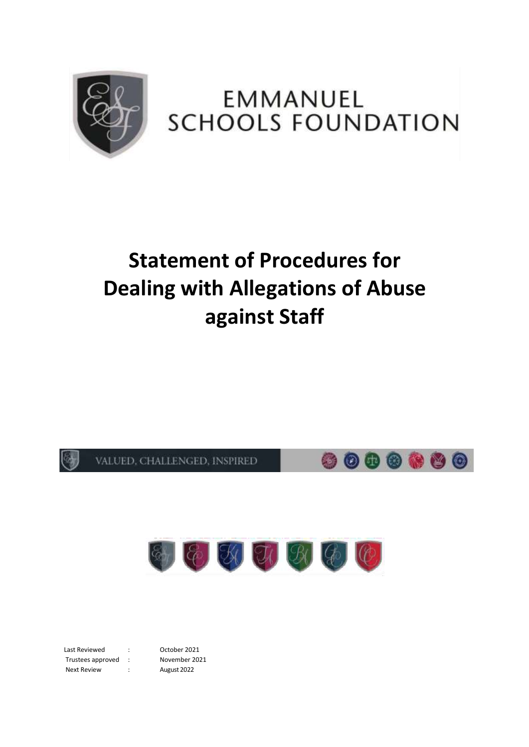

## **EMMANUEL SCHOOLS FOUNDATION**

# **Statement of Procedures for Dealing with Allegations of Abuse against Staff**





Last Reviewed : Corober 2021 Trustees approved : November 2021 Next Review : August 2022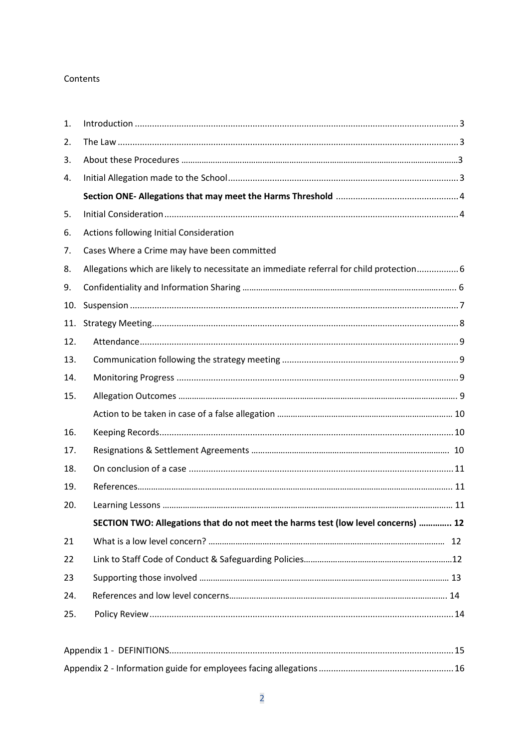## Contents

| 1.  |                                                                                          |
|-----|------------------------------------------------------------------------------------------|
| 2.  |                                                                                          |
| 3.  |                                                                                          |
| 4.  |                                                                                          |
|     |                                                                                          |
| 5.  |                                                                                          |
| 6.  | Actions following Initial Consideration                                                  |
| 7.  | Cases Where a Crime may have been committed                                              |
| 8.  | Allegations which are likely to necessitate an immediate referral for child protection 6 |
| 9.  |                                                                                          |
| 10. |                                                                                          |
| 11. |                                                                                          |
| 12. |                                                                                          |
| 13. |                                                                                          |
| 14. |                                                                                          |
| 15. |                                                                                          |
|     |                                                                                          |
| 16. |                                                                                          |
| 17. |                                                                                          |
| 18. |                                                                                          |
| 19. |                                                                                          |
| 20. |                                                                                          |
|     | SECTION TWO: Allegations that do not meet the harms test (low level concerns)  12        |
| 21  |                                                                                          |
| 22  |                                                                                          |
| 23  |                                                                                          |
| 24. |                                                                                          |
| 25. |                                                                                          |
|     |                                                                                          |
|     |                                                                                          |
|     |                                                                                          |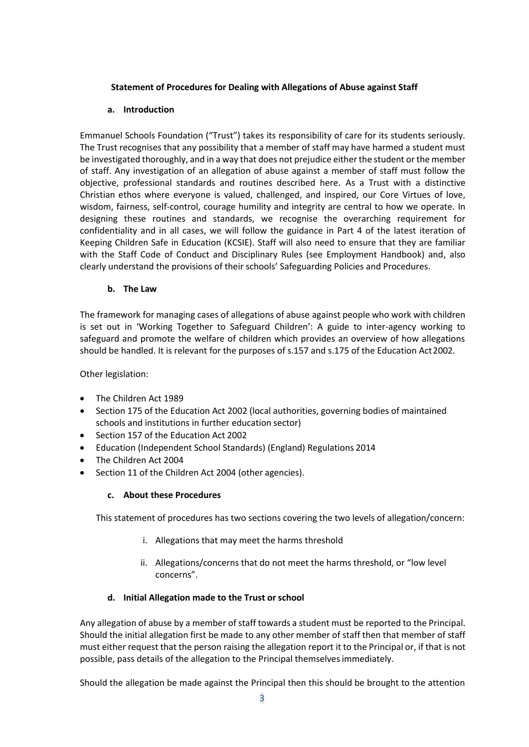## **Statement of Procedures for Dealing with Allegations of Abuse against Staff**

## **a. Introduction**

<span id="page-2-0"></span>Emmanuel Schools Foundation ("Trust") takes its responsibility of care for its students seriously. The Trust recognises that any possibility that a member of staff may have harmed a student must be investigated thoroughly, and in a way that does not prejudice either the student or the member of staff. Any investigation of an allegation of abuse against a member of staff must follow the objective, professional standards and routines described here. As a Trust with a distinctive Christian ethos where everyone is valued, challenged, and inspired, our Core Virtues of love, wisdom, fairness, self-control, courage humility and integrity are central to how we operate. In designing these routines and standards, we recognise the overarching requirement for confidentiality and in all cases, we will follow the guidance in Part 4 of the latest iteration of Keeping Children Safe in Education (KCSIE). Staff will also need to ensure that they are familiar with the Staff Code of Conduct and Disciplinary Rules (see Employment Handbook) and, also clearly understand the provisions of their schools' Safeguarding Policies and Procedures.

## **b. The Law**

<span id="page-2-1"></span>The framework for managing cases of allegations of abuse against people who work with children is set out in 'Working Together to Safeguard Children': A guide to inter-agency working to safeguard and promote the welfare of children which provides an overview of how allegations should be handled. It is relevant for the purposes of s.157 and s.175 of the Education Act2002.

Other legislation:

- The Children Act 1989
- Section 175 of the Education Act 2002 (local authorities, governing bodies of maintained schools and institutions in further education sector)
- Section 157 of the Education Act 2002
- Education (Independent School Standards) (England) Regulations 2014
- The Children Act 2004
- <span id="page-2-2"></span>• Section 11 of the Children Act 2004 (other agencies).

## **c. About these Procedures**

This statement of procedures has two sections covering the two levels of allegation/concern:

- i. Allegations that may meet the harms threshold
- ii. Allegations/concerns that do not meet the harms threshold, or "low level concerns".

## **d. Initial Allegation made to the Trust or school**

Any allegation of abuse by a member of staff towards a student must be reported to the Principal. Should the initial allegation first be made to any other member of staff then that member of staff must either request that the person raising the allegation report it to the Principal or, if that is not possible, pass details of the allegation to the Principal themselvesimmediately.

Should the allegation be made against the Principal then this should be brought to the attention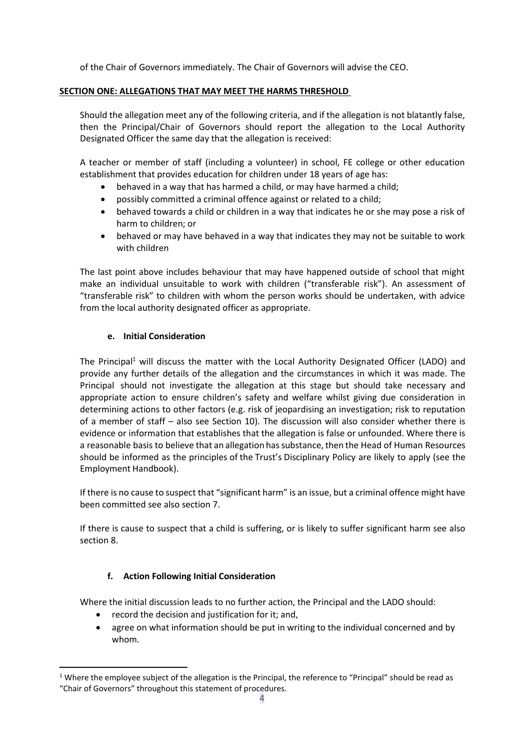of the Chair of Governors immediately. The Chair of Governors will advise the CEO.

## **SECTION ONE: ALLEGATIONS THAT MAY MEET THE HARMS THRESHOLD**

Should the allegation meet any of the following criteria, and if the allegation is not blatantly false, then the Principal/Chair of Governors should report the allegation to the Local Authority Designated Officer the same day that the allegation is received:

A teacher or member of staff (including a volunteer) in school, FE college or other education establishment that provides education for children under 18 years of age has:

- behaved in a way that has harmed a child, or may have harmed a child;
- possibly committed a criminal offence against or related to a child;
- behaved towards a child or children in a way that indicates he or she may pose a risk of harm to children; or
- behaved or may have behaved in a way that indicates they may not be suitable to work with children

The last point above includes behaviour that may have happened outside of school that might make an individual unsuitable to work with children ("transferable risk"). An assessment of "transferable risk" to children with whom the person works should be undertaken, with advice from the local authority designated officer as appropriate.

#### **e. Initial Consideration**

<span id="page-3-0"></span>The Principal<sup>1</sup> will discuss the matter with the Local Authority Designated Officer (LADO) and provide any further details of the allegation and the circumstances in which it was made. The Principal should not investigate the allegation at this stage but should take necessary and appropriate action to ensure children's safety and welfare whilst giving due consideration in determining actions to other factors (e.g. risk of jeopardising an investigation; risk to reputation of a member of staff – also see Section 10). The discussion will also consider whether there is evidence or information that establishes that the allegation is false or unfounded. Where there is a reasonable basis to believe that an allegation has substance, then the Head of Human Resources should be informed as the principles of the Trust's Disciplinary Policy are likely to apply (see the Employment Handbook).

If there is no cause to suspect that "significant harm" is an issue, but a criminal offence might have been committed see also section 7.

If there is cause to suspect that a child is suffering, or is likely to suffer significant harm see also section 8.

## **f. Action Following Initial Consideration**

<span id="page-3-1"></span>Where the initial discussion leads to no further action, the Principal and the LADO should:

- record the decision and justification for it; and,
- agree on what information should be put in writing to the individual concerned and by whom.

<sup>&</sup>lt;sup>1</sup> Where the employee subject of the allegation is the Principal, the reference to "Principal" should be read as "Chair of Governors" throughout this statement of procedures.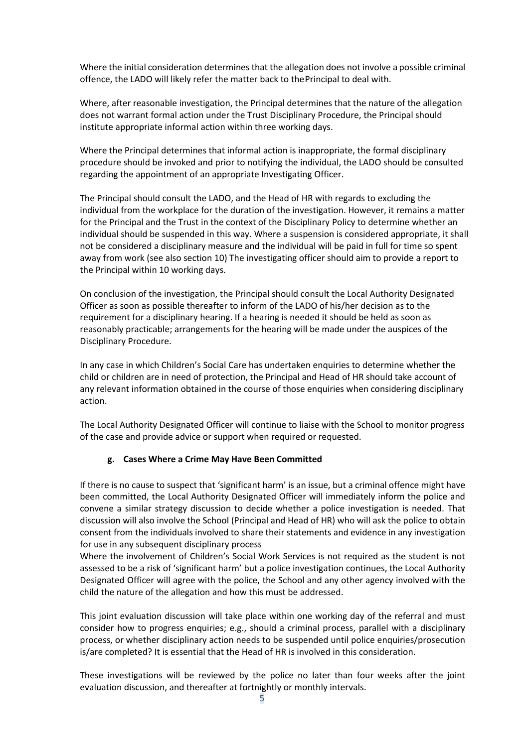Where the initial consideration determines that the allegation does not involve a possible criminal offence, the LADO will likely refer the matter back to thePrincipal to deal with.

Where, after reasonable investigation, the Principal determines that the nature of the allegation does not warrant formal action under the Trust Disciplinary Procedure, the Principal should institute appropriate informal action within three working days.

Where the Principal determines that informal action is inappropriate, the formal disciplinary procedure should be invoked and prior to notifying the individual, the LADO should be consulted regarding the appointment of an appropriate Investigating Officer.

The Principal should consult the LADO, and the Head of HR with regards to excluding the individual from the workplace for the duration of the investigation. However, it remains a matter for the Principal and the Trust in the context of the Disciplinary Policy to determine whether an individual should be suspended in this way. Where a suspension is considered appropriate, it shall not be considered a disciplinary measure and the individual will be paid in full for time so spent away from work (see also section 10) The investigating officer should aim to provide a report to the Principal within 10 working days.

On conclusion of the investigation, the Principal should consult the Local Authority Designated Officer as soon as possible thereafter to inform of the LADO of his/her decision as to the requirement for a disciplinary hearing. If a hearing is needed it should be held as soon as reasonably practicable; arrangements for the hearing will be made under the auspices of the Disciplinary Procedure.

In any case in which Children's Social Care has undertaken enquiries to determine whether the child or children are in need of protection, the Principal and Head of HR should take account of any relevant information obtained in the course of those enquiries when considering disciplinary action.

The Local Authority Designated Officer will continue to liaise with the School to monitor progress of the case and provide advice or support when required or requested.

## **g. Cases Where a Crime May Have Been Committed**

If there is no cause to suspect that 'significant harm' is an issue, but a criminal offence might have been committed, the Local Authority Designated Officer will immediately inform the police and convene a similar strategy discussion to decide whether a police investigation is needed. That discussion will also involve the School (Principal and Head of HR) who will ask the police to obtain consent from the individuals involved to share their statements and evidence in any investigation for use in any subsequent disciplinary process

Where the involvement of Children's Social Work Services is not required as the student is not assessed to be a risk of 'significant harm' but a police investigation continues, the Local Authority Designated Officer will agree with the police, the School and any other agency involved with the child the nature of the allegation and how this must be addressed.

This joint evaluation discussion will take place within one working day of the referral and must consider how to progress enquiries; e.g., should a criminal process, parallel with a disciplinary process, or whether disciplinary action needs to be suspended until police enquiries/prosecution is/are completed? It is essential that the Head of HR is involved in this consideration.

These investigations will be reviewed by the police no later than four weeks after the joint evaluation discussion, and thereafter at fortnightly or monthly intervals.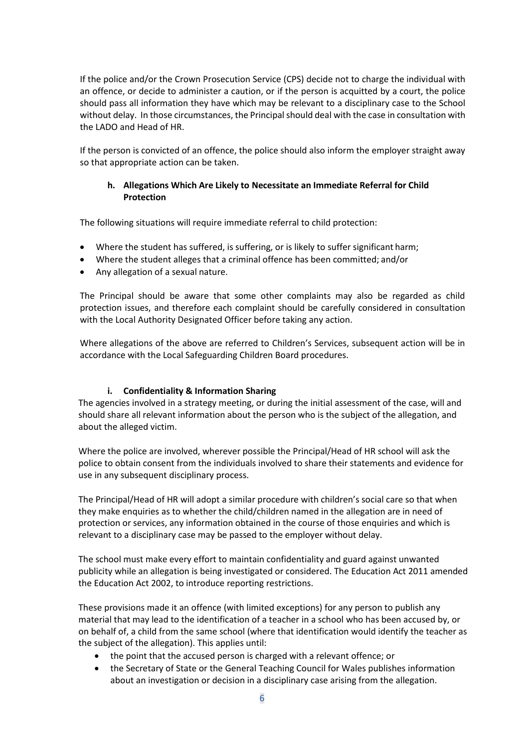If the police and/or the Crown Prosecution Service (CPS) decide not to charge the individual with an offence, or decide to administer a caution, or if the person is acquitted by a court, the police should pass all information they have which may be relevant to a disciplinary case to the School without delay. In those circumstances, the Principalshould deal with the case in consultation with the LADO and Head of HR.

<span id="page-5-0"></span>If the person is convicted of an offence, the police should also inform the employer straight away so that appropriate action can be taken.

## **h. Allegations Which Are Likely to Necessitate an Immediate Referral for Child Protection**

The following situations will require immediate referral to child protection:

- Where the student has suffered, is suffering, or is likely to suffer significant harm;
- Where the student alleges that a criminal offence has been committed; and/or
- Any allegation of a sexual nature.

The Principal should be aware that some other complaints may also be regarded as child protection issues, and therefore each complaint should be carefully considered in consultation with the Local Authority Designated Officer before taking any action.

Where allegations of the above are referred to Children's Services, subsequent action will be in accordance with the Local Safeguarding Children Board procedures.

## **i. Confidentiality & Information Sharing**

<span id="page-5-1"></span>The agencies involved in a strategy meeting, or during the initial assessment of the case, will and should share all relevant information about the person who is the subject of the allegation, and about the alleged victim.

Where the police are involved, wherever possible the Principal/Head of HR school will ask the police to obtain consent from the individuals involved to share their statements and evidence for use in any subsequent disciplinary process.

The Principal/Head of HR will adopt a similar procedure with children's social care so that when they make enquiries as to whether the child/children named in the allegation are in need of protection or services, any information obtained in the course of those enquiries and which is relevant to a disciplinary case may be passed to the employer without delay.

The school must make every effort to maintain confidentiality and guard against unwanted publicity while an allegation is being investigated or considered. The Education Act 2011 amended the Education Act 2002, to introduce reporting restrictions.

These provisions made it an offence (with limited exceptions) for any person to publish any material that may lead to the identification of a teacher in a school who has been accused by, or on behalf of, a child from the same school (where that identification would identify the teacher as the subject of the allegation). This applies until:

- the point that the accused person is charged with a relevant offence; or
- the Secretary of State or the General Teaching Council for Wales publishes information about an investigation or decision in a disciplinary case arising from the allegation.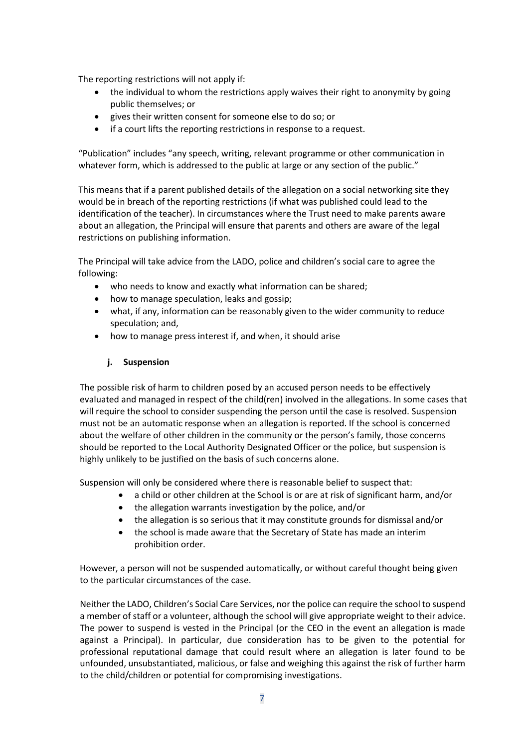The reporting restrictions will not apply if:

- the individual to whom the restrictions apply waives their right to anonymity by going public themselves; or
- gives their written consent for someone else to do so; or
- if a court lifts the reporting restrictions in response to a request.

"Publication" includes "any speech, writing, relevant programme or other communication in whatever form, which is addressed to the public at large or any section of the public."

This means that if a parent published details of the allegation on a social networking site they would be in breach of the reporting restrictions (if what was published could lead to the identification of the teacher). In circumstances where the Trust need to make parents aware about an allegation, the Principal will ensure that parents and others are aware of the legal restrictions on publishing information.

The Principal will take advice from the LADO, police and children's social care to agree the following:

- who needs to know and exactly what information can be shared;
- how to manage speculation, leaks and gossip;
- what, if any, information can be reasonably given to the wider community to reduce speculation; and,
- how to manage press interest if, and when, it should arise

## **j. Suspension**

The possible risk of harm to children posed by an accused person needs to be effectively evaluated and managed in respect of the child(ren) involved in the allegations. In some cases that will require the school to consider suspending the person until the case is resolved. Suspension must not be an automatic response when an allegation is reported. If the school is concerned about the welfare of other children in the community or the person's family, those concerns should be reported to the Local Authority Designated Officer or the police, but suspension is highly unlikely to be justified on the basis of such concerns alone.

Suspension will only be considered where there is reasonable belief to suspect that:

- a child or other children at the School is or are at risk of significant harm, and/or
- the allegation warrants investigation by the police, and/or
- the allegation is so serious that it may constitute grounds for dismissal and/or
- the school is made aware that the Secretary of State has made an interim prohibition order.

However, a person will not be suspended automatically, or without careful thought being given to the particular circumstances of the case.

Neither the LADO, Children's Social Care Services, nor the police can require the school to suspend a member of staff or a volunteer, although the school will give appropriate weight to their advice. The power to suspend is vested in the Principal (or the CEO in the event an allegation is made against a Principal). In particular, due consideration has to be given to the potential for professional reputational damage that could result where an allegation is later found to be unfounded, unsubstantiated, malicious, or false and weighing this against the risk of further harm to the child/children or potential for compromising investigations.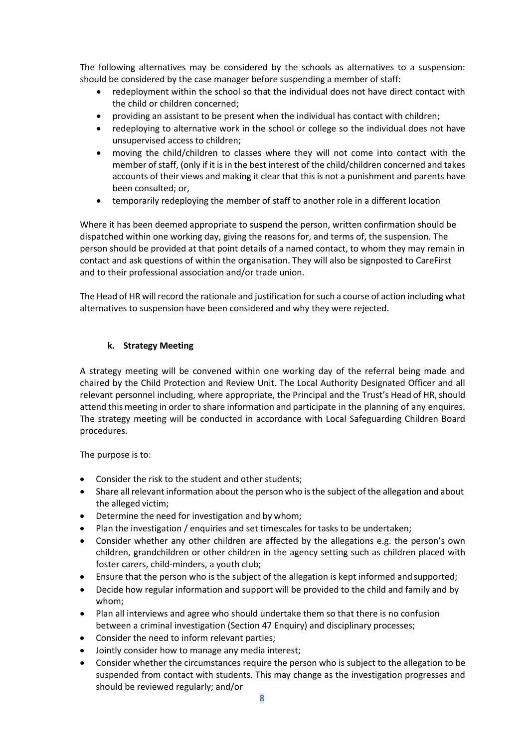The following alternatives may be considered by the schools as alternatives to a suspension: should be considered by the case manager before suspending a member of staff:

- redeployment within the school so that the individual does not have direct contact with the child or children concerned;
- providing an assistant to be present when the individual has contact with children;
- redeploying to alternative work in the school or college so the individual does not have unsupervised access to children;
- moving the child/children to classes where they will not come into contact with the member of staff, (only if it is in the best interest of the child/children concerned and takes accounts of their views and making it clear that this is not a punishment and parents have been consulted; or,
- temporarily redeploying the member of staff to another role in a different location

Where it has been deemed appropriate to suspend the person, written confirmation should be dispatched within one working day, giving the reasons for, and terms of, the suspension. The person should be provided at that point details of a named contact, to whom they may remain in contact and ask questions of within the organisation. They will also be signposted to CareFirst and to their professional association and/or trade union.

The Head of HR will record the rationale and justification for such a course of action including what alternatives to suspension have been considered and why they were rejected.

## **k. Strategy Meeting**

<span id="page-7-0"></span>A strategy meeting will be convened within one working day of the referral being made and chaired by the Child Protection and Review Unit. The Local Authority Designated Officer and all relevant personnel including, where appropriate, the Principal and the Trust's Head of HR, should attend this meeting in order to share information and participate in the planning of any enquires. The strategy meeting will be conducted in accordance with Local Safeguarding Children Board procedures.

The purpose is to:

- Consider the risk to the student and other students;
- Share all relevant information about the person who isthe subject of the allegation and about the alleged victim;
- Determine the need for investigation and by whom;
- Plan the investigation / enquiries and set timescales for tasks to be undertaken;
- Consider whether any other children are affected by the allegations e.g. the person's own children, grandchildren or other children in the agency setting such as children placed with foster carers, child-minders, a youth club;
- Ensure that the person who is the subject of the allegation is kept informed andsupported;
- Decide how regular information and support will be provided to the child and family and by whom;
- Plan all interviews and agree who should undertake them so that there is no confusion between a criminal investigation (Section 47 Enquiry) and disciplinary processes;
- Consider the need to inform relevant parties;
- Jointly consider how to manage any media interest;
- Consider whether the circumstances require the person who is subject to the allegation to be suspended from contact with students. This may change as the investigation progresses and should be reviewed regularly; and/or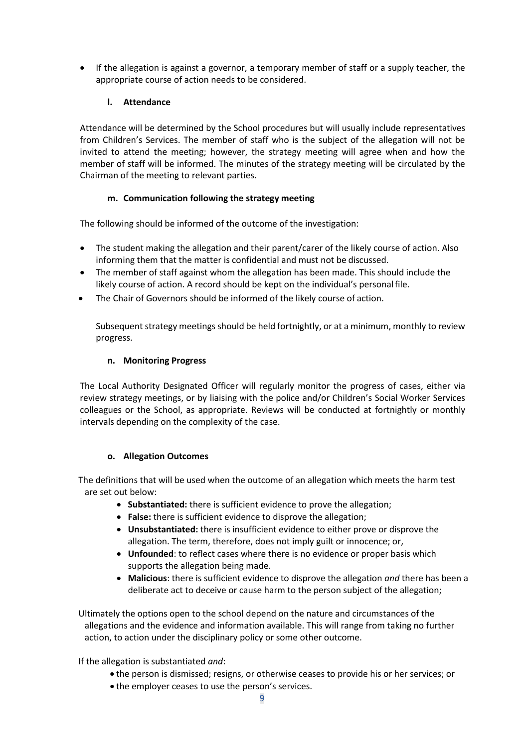• If the allegation is against a governor, a temporary member of staff or a supply teacher, the appropriate course of action needs to be considered.

## **l. Attendance**

<span id="page-8-0"></span>Attendance will be determined by the School procedures but will usually include representatives from Children's Services. The member of staff who is the subject of the allegation will not be invited to attend the meeting; however, the strategy meeting will agree when and how the member of staff will be informed. The minutes of the strategy meeting will be circulated by the Chairman of the meeting to relevant parties.

## **m. Communication following the strategy meeting**

<span id="page-8-1"></span>The following should be informed of the outcome of the investigation:

- The student making the allegation and their parent/carer of the likely course of action. Also informing them that the matter is confidential and must not be discussed.
- The member of staff against whom the allegation has been made. This should include the likely course of action. A record should be kept on the individual's personalfile.
- The Chair of Governors should be informed of the likely course of action.

Subsequent strategy meetings should be held fortnightly, or at a minimum, monthly to review progress.

## **n. Monitoring Progress**

<span id="page-8-2"></span>The Local Authority Designated Officer will regularly monitor the progress of cases, either via review strategy meetings, or by liaising with the police and/or Children's Social Worker Services colleagues or the School, as appropriate. Reviews will be conducted at fortnightly or monthly intervals depending on the complexity of the case.

## **o. Allegation Outcomes**

The definitions that will be used when the outcome of an allegation which meets the harm test are set out below:

- **Substantiated:** there is sufficient evidence to prove the allegation;
- **False:** there is sufficient evidence to disprove the allegation;
- **Unsubstantiated:** there is insufficient evidence to either prove or disprove the allegation. The term, therefore, does not imply guilt or innocence; or,
- **Unfounded**: to reflect cases where there is no evidence or proper basis which supports the allegation being made.
- **Malicious**: there is sufficient evidence to disprove the allegation *and* there has been a deliberate act to deceive or cause harm to the person subject of the allegation;

Ultimately the options open to the school depend on the nature and circumstances of the allegations and the evidence and information available. This will range from taking no further action, to action under the disciplinary policy or some other outcome.

If the allegation is substantiated *and*:

- the person is dismissed; resigns, or otherwise ceases to provide his or her services; or
- the employer ceases to use the person's services.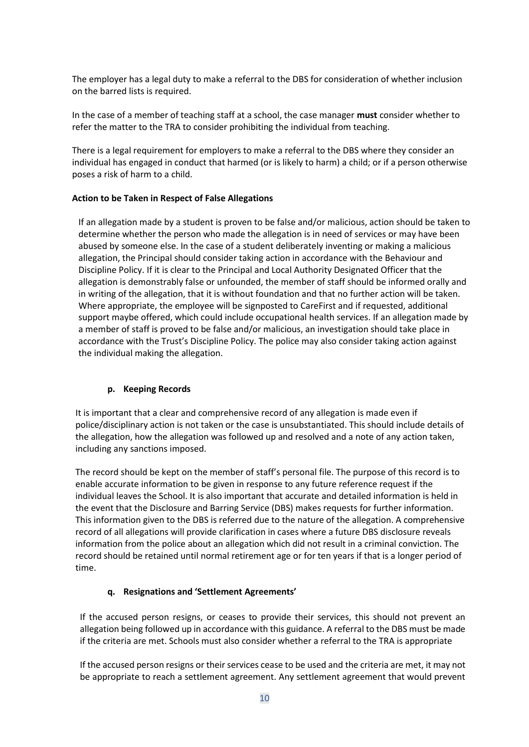The employer has a legal duty to make a referral to the DBS for consideration of whether inclusion on the barred lists is required.

In the case of a member of teaching staff at a school, the case manager **must** consider whether to refer the matter to the TRA to consider prohibiting the individual from teaching.

There is a legal requirement for employers to make a referral to the DBS where they consider an individual has engaged in conduct that harmed (or is likely to harm) a child; or if a person otherwise poses a risk of harm to a child.

#### **Action to be Taken in Respect of False Allegations**

If an allegation made by a student is proven to be false and/or malicious, action should be taken to determine whether the person who made the allegation is in need of services or may have been abused by someone else. In the case of a student deliberately inventing or making a malicious allegation, the Principal should consider taking action in accordance with the Behaviour and Discipline Policy. If it is clear to the Principal and Local Authority Designated Officer that the allegation is demonstrably false or unfounded, the member of staff should be informed orally and in writing of the allegation, that it is without foundation and that no further action will be taken. Where appropriate, the employee will be signposted to CareFirst and if requested, additional support maybe offered, which could include occupational health services. If an allegation made by a member of staff is proved to be false and/or malicious, an investigation should take place in accordance with the Trust's Discipline Policy. The police may also consider taking action against the individual making the allegation.

## **p. Keeping Records**

It is important that a clear and comprehensive record of any allegation is made even if police/disciplinary action is not taken or the case is unsubstantiated. This should include details of the allegation, how the allegation was followed up and resolved and a note of any action taken, including any sanctions imposed.

The record should be kept on the member of staff's personal file. The purpose of this record is to enable accurate information to be given in response to any future reference request if the individual leaves the School. It is also important that accurate and detailed information is held in the event that the Disclosure and Barring Service (DBS) makes requests for further information. This information given to the DBS is referred due to the nature of the allegation. A comprehensive record of all allegations will provide clarification in cases where a future DBS disclosure reveals information from the police about an allegation which did not result in a criminal conviction. The record should be retained until normal retirement age or for ten years if that is a longer period of time.

## **q. Resignations and 'Settlement Agreements'**

If the accused person resigns, or ceases to provide their services, this should not prevent an allegation being followed up in accordance with this guidance. A referral to the DBS must be made if the criteria are met. Schools must also consider whether a referral to the TRA is appropriate

If the accused person resigns or their services cease to be used and the criteria are met, it may not be appropriate to reach a settlement agreement. Any settlement agreement that would prevent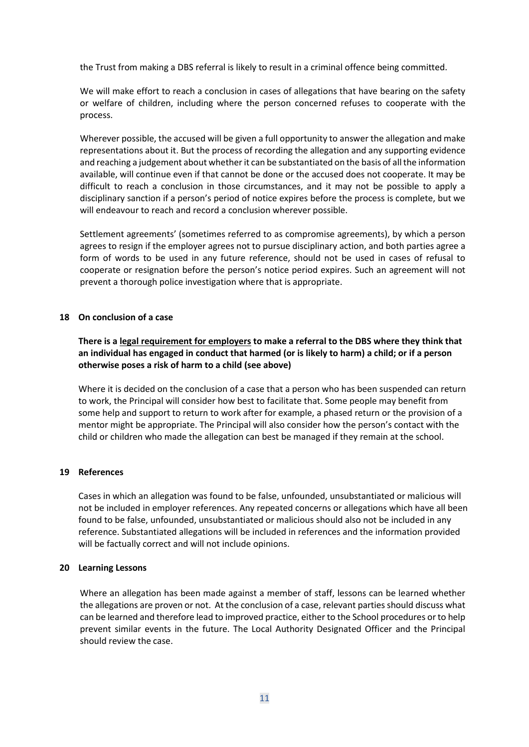the Trust from making a DBS referral is likely to result in a criminal offence being committed.

We will make effort to reach a conclusion in cases of allegations that have bearing on the safety or welfare of children, including where the person concerned refuses to cooperate with the process.

Wherever possible, the accused will be given a full opportunity to answer the allegation and make representations about it. But the process of recording the allegation and any supporting evidence and reaching a judgement about whether it can be substantiated on the basis of all the information available, will continue even if that cannot be done or the accused does not cooperate. It may be difficult to reach a conclusion in those circumstances, and it may not be possible to apply a disciplinary sanction if a person's period of notice expires before the process is complete, but we will endeavour to reach and record a conclusion wherever possible.

Settlement agreements' (sometimes referred to as compromise agreements), by which a person agrees to resign if the employer agrees not to pursue disciplinary action, and both parties agree a form of words to be used in any future reference, should not be used in cases of refusal to cooperate or resignation before the person's notice period expires. Such an agreement will not prevent a thorough police investigation where that is appropriate.

#### **18 On conclusion of a case**

**There is a legal requirement for employers to make a referral to the DBS where they think that an individual has engaged in conduct that harmed (or is likely to harm) a child; or if a person otherwise poses a risk of harm to a child (see above)**

Where it is decided on the conclusion of a case that a person who has been suspended can return to work, the Principal will consider how best to facilitate that. Some people may benefit from some help and support to return to work after for example, a phased return or the provision of a mentor might be appropriate. The Principal will also consider how the person's contact with the child or children who made the allegation can best be managed if they remain at the school.

#### **19 References**

Cases in which an allegation was found to be false, unfounded, unsubstantiated or malicious will not be included in employer references. Any repeated concerns or allegations which have all been found to be false, unfounded, unsubstantiated or malicious should also not be included in any reference. Substantiated allegations will be included in references and the information provided will be factually correct and will not include opinions.

#### **20 Learning Lessons**

<span id="page-10-0"></span>Where an allegation has been made against a member of staff, lessons can be learned whether the allegations are proven or not. At the conclusion of a case, relevant parties should discuss what can be learned and therefore lead to improved practice, either to the School procedures orto help prevent similar events in the future. The Local Authority Designated Officer and the Principal should review the case.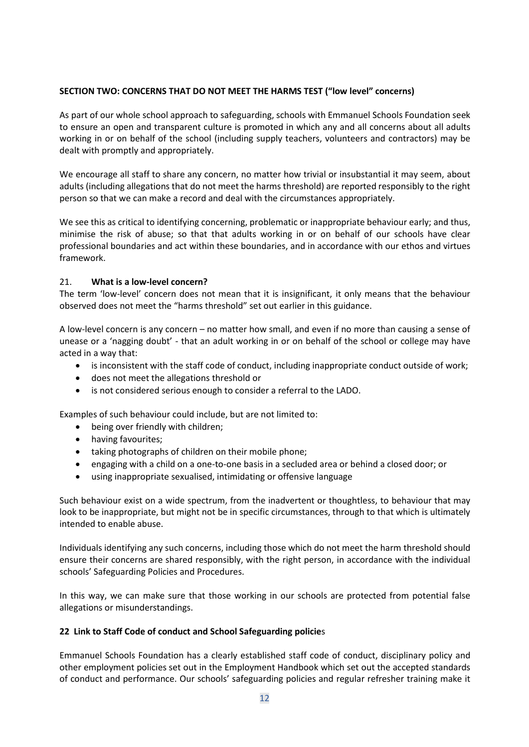#### **SECTION TWO: CONCERNS THAT DO NOT MEET THE HARMS TEST ("low level" concerns)**

As part of our whole school approach to safeguarding, schools with Emmanuel Schools Foundation seek to ensure an open and transparent culture is promoted in which any and all concerns about all adults working in or on behalf of the school (including supply teachers, volunteers and contractors) may be dealt with promptly and appropriately.

We encourage all staff to share any concern, no matter how trivial or insubstantial it may seem, about adults (including allegations that do not meet the harms threshold) are reported responsibly to the right person so that we can make a record and deal with the circumstances appropriately.

We see this as critical to identifying concerning, problematic or inappropriate behaviour early; and thus, minimise the risk of abuse; so that that adults working in or on behalf of our schools have clear professional boundaries and act within these boundaries, and in accordance with our ethos and virtues framework.

#### 21. **What is a low-level concern?**

The term 'low-level' concern does not mean that it is insignificant, it only means that the behaviour observed does not meet the "harms threshold" set out earlier in this guidance.

A low-level concern is any concern – no matter how small, and even if no more than causing a sense of unease or a 'nagging doubt' - that an adult working in or on behalf of the school or college may have acted in a way that:

- is inconsistent with the staff code of conduct, including inappropriate conduct outside of work;
- does not meet the allegations threshold or
- is not considered serious enough to consider a referral to the LADO.

Examples of such behaviour could include, but are not limited to:

- being over friendly with children;
- having favourites;
- taking photographs of children on their mobile phone;
- engaging with a child on a one-to-one basis in a secluded area or behind a closed door; or
- using inappropriate sexualised, intimidating or offensive language

Such behaviour exist on a wide spectrum, from the inadvertent or thoughtless, to behaviour that may look to be inappropriate, but might not be in specific circumstances, through to that which is ultimately intended to enable abuse.

Individuals identifying any such concerns, including those which do not meet the harm threshold should ensure their concerns are shared responsibly, with the right person, in accordance with the individual schools' Safeguarding Policies and Procedures.

In this way, we can make sure that those working in our schools are protected from potential false allegations or misunderstandings.

#### **22 Link to Staff Code of conduct and School Safeguarding policie**s

Emmanuel Schools Foundation has a clearly established staff code of conduct, disciplinary policy and other employment policies set out in the Employment Handbook which set out the accepted standards of conduct and performance. Our schools' safeguarding policies and regular refresher training make it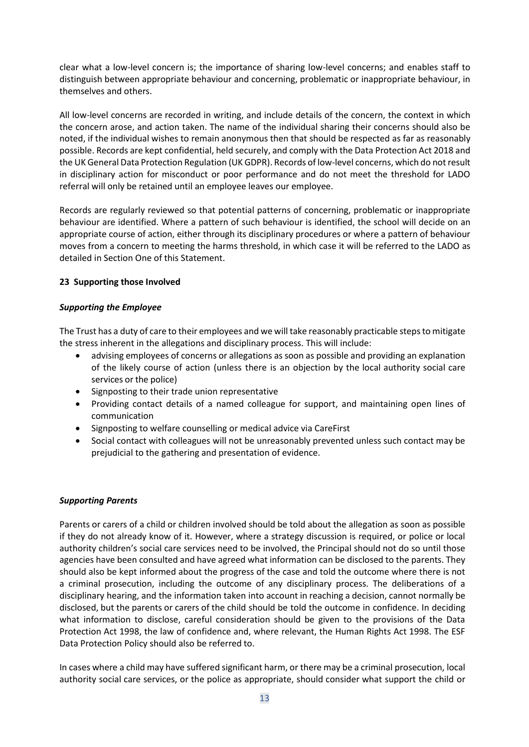clear what a low-level concern is; the importance of sharing low-level concerns; and enables staff to distinguish between appropriate behaviour and concerning, problematic or inappropriate behaviour, in themselves and others.

All low-level concerns are recorded in writing, and include details of the concern, the context in which the concern arose, and action taken. The name of the individual sharing their concerns should also be noted, if the individual wishes to remain anonymous then that should be respected as far as reasonably possible. Records are kept confidential, held securely, and comply with the Data Protection Act 2018 and the UK General Data Protection Regulation (UK GDPR). Records of low-level concerns, which do not result in disciplinary action for misconduct or poor performance and do not meet the threshold for LADO referral will only be retained until an employee leaves our employee.

Records are regularly reviewed so that potential patterns of concerning, problematic or inappropriate behaviour are identified. Where a pattern of such behaviour is identified, the school will decide on an appropriate course of action, either through its disciplinary procedures or where a pattern of behaviour moves from a concern to meeting the harms threshold, in which case it will be referred to the LADO as detailed in Section One of this Statement.

#### **23 Supporting those Involved**

#### *Supporting the Employee*

The Trust has a duty of care to their employees and we will take reasonably practicable steps to mitigate the stress inherent in the allegations and disciplinary process. This will include:

- advising employees of concerns or allegations as soon as possible and providing an explanation of the likely course of action (unless there is an objection by the local authority social care services or the police)
- Signposting to their trade union representative
- Providing contact details of a named colleague for support, and maintaining open lines of communication
- Signposting to welfare counselling or medical advice via CareFirst
- Social contact with colleagues will not be unreasonably prevented unless such contact may be prejudicial to the gathering and presentation of evidence.

#### *Supporting Parents*

Parents or carers of a child or children involved should be told about the allegation as soon as possible if they do not already know of it. However, where a strategy discussion is required, or police or local authority children's social care services need to be involved, the Principal should not do so until those agencies have been consulted and have agreed what information can be disclosed to the parents. They should also be kept informed about the progress of the case and told the outcome where there is not a criminal prosecution, including the outcome of any disciplinary process. The deliberations of a disciplinary hearing, and the information taken into account in reaching a decision, cannot normally be disclosed, but the parents or carers of the child should be told the outcome in confidence. In deciding what information to disclose, careful consideration should be given to the provisions of the Data Protection Act 1998, the law of confidence and, where relevant, the Human Rights Act 1998. The ESF Data Protection Policy should also be referred to.

In cases where a child may have suffered significant harm, or there may be a criminal prosecution, local authority social care services, or the police as appropriate, should consider what support the child or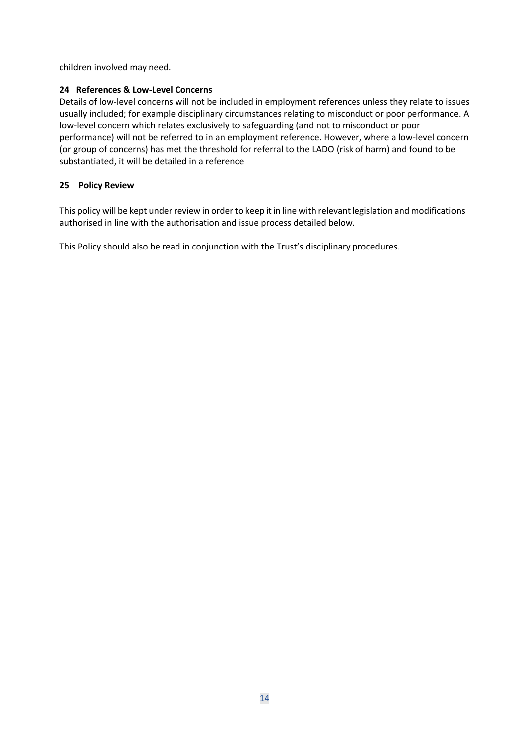children involved may need.

## <span id="page-13-0"></span>**24 References & Low-Level Concerns**

Details of low-level concerns will not be included in employment references unless they relate to issues usually included; for example disciplinary circumstances relating to misconduct or poor performance. A low-level concern which relates exclusively to safeguarding (and not to misconduct or poor performance) will not be referred to in an employment reference. However, where a low-level concern (or group of concerns) has met the threshold for referral to the LADO (risk of harm) and found to be substantiated, it will be detailed in a reference

## **25 Policy Review**

This policy will be kept under review in order to keep it in line with relevant legislation and modifications authorised in line with the authorisation and issue process detailed below.

This Policy should also be read in conjunction with the Trust's disciplinary procedures.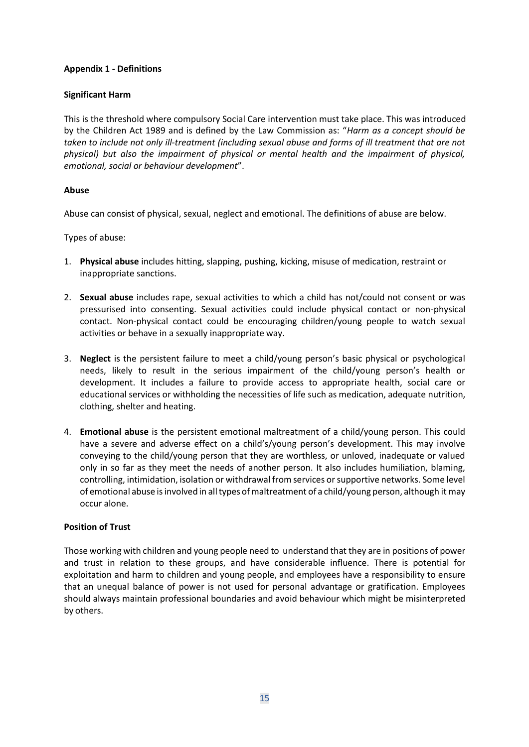## <span id="page-14-0"></span>**Appendix 1 - Definitions**

#### **Significant Harm**

This is the threshold where compulsory Social Care intervention must take place. This was introduced by the Children Act 1989 and is defined by the Law Commission as: "*Harm as a concept should be taken to include not only ill-treatment (including sexual abuse and forms of ill treatment that are not physical) but also the impairment of physical or mental health and the impairment of physical, emotional, social or behaviour development*".

#### **Abuse**

Abuse can consist of physical, sexual, neglect and emotional. The definitions of abuse are below.

Types of abuse:

- 1. **Physical abuse** includes hitting, slapping, pushing, kicking, misuse of medication, restraint or inappropriate sanctions.
- 2. **Sexual abuse** includes rape, sexual activities to which a child has not/could not consent or was pressurised into consenting. Sexual activities could include physical contact or non-physical contact. Non-physical contact could be encouraging children/young people to watch sexual activities or behave in a sexually inappropriate way.
- 3. **Neglect** is the persistent failure to meet a child/young person's basic physical or psychological needs, likely to result in the serious impairment of the child/young person's health or development. It includes a failure to provide access to appropriate health, social care or educational services or withholding the necessities of life such as medication, adequate nutrition, clothing, shelter and heating.
- 4. **Emotional abuse** is the persistent emotional maltreatment of a child/young person. This could have a severe and adverse effect on a child's/young person's development. This may involve conveying to the child/young person that they are worthless, or unloved, inadequate or valued only in so far as they meet the needs of another person. It also includes humiliation, blaming, controlling, intimidation, isolation or withdrawal from services or supportive networks. Some level of emotional abuse isinvolved in alltypes ofmaltreatment of a child/young person, although it may occur alone.

#### **Position of Trust**

Those working with children and young people need to understand that they are in positions of power and trust in relation to these groups, and have considerable influence. There is potential for exploitation and harm to children and young people, and employees have a responsibility to ensure that an unequal balance of power is not used for personal advantage or gratification. Employees should always maintain professional boundaries and avoid behaviour which might be misinterpreted by others.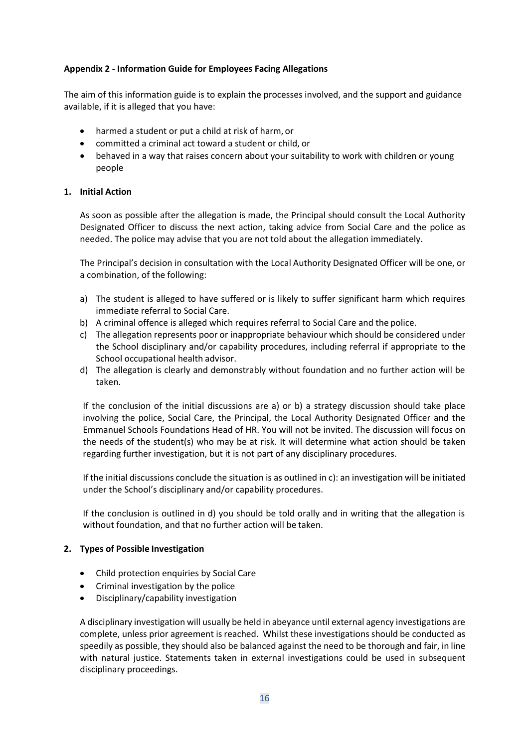## <span id="page-15-0"></span>**Appendix 2 - Information Guide for Employees Facing Allegations**

The aim of this information guide is to explain the processes involved, and the support and guidance available, if it is alleged that you have:

- harmed a student or put a child at risk of harm, or
- committed a criminal act toward a student or child, or
- behaved in a way that raises concern about your suitability to work with children or young people

#### **1. Initial Action**

As soon as possible after the allegation is made, the Principal should consult the Local Authority Designated Officer to discuss the next action, taking advice from Social Care and the police as needed. The police may advise that you are not told about the allegation immediately.

The Principal's decision in consultation with the Local Authority Designated Officer will be one, or a combination, of the following:

- a) The student is alleged to have suffered or is likely to suffer significant harm which requires immediate referral to Social Care.
- b) A criminal offence is alleged which requires referral to Social Care and the police.
- c) The allegation represents poor or inappropriate behaviour which should be considered under the School disciplinary and/or capability procedures, including referral if appropriate to the School occupational health advisor.
- d) The allegation is clearly and demonstrably without foundation and no further action will be taken.

If the conclusion of the initial discussions are a) or b) a strategy discussion should take place involving the police, Social Care, the Principal, the Local Authority Designated Officer and the Emmanuel Schools Foundations Head of HR. You will not be invited. The discussion will focus on the needs of the student(s) who may be at risk. It will determine what action should be taken regarding further investigation, but it is not part of any disciplinary procedures.

If the initial discussions conclude the situation is as outlined in c): an investigation will be initiated under the School's disciplinary and/or capability procedures.

If the conclusion is outlined in d) you should be told orally and in writing that the allegation is without foundation, and that no further action will be taken.

#### **2. Types of Possible Investigation**

- Child protection enquiries by Social Care
- Criminal investigation by the police
- Disciplinary/capability investigation

A disciplinary investigation will usually be held in abeyance until external agency investigations are complete, unless prior agreement is reached. Whilst these investigations should be conducted as speedily as possible, they should also be balanced against the need to be thorough and fair, in line with natural justice. Statements taken in external investigations could be used in subsequent disciplinary proceedings.